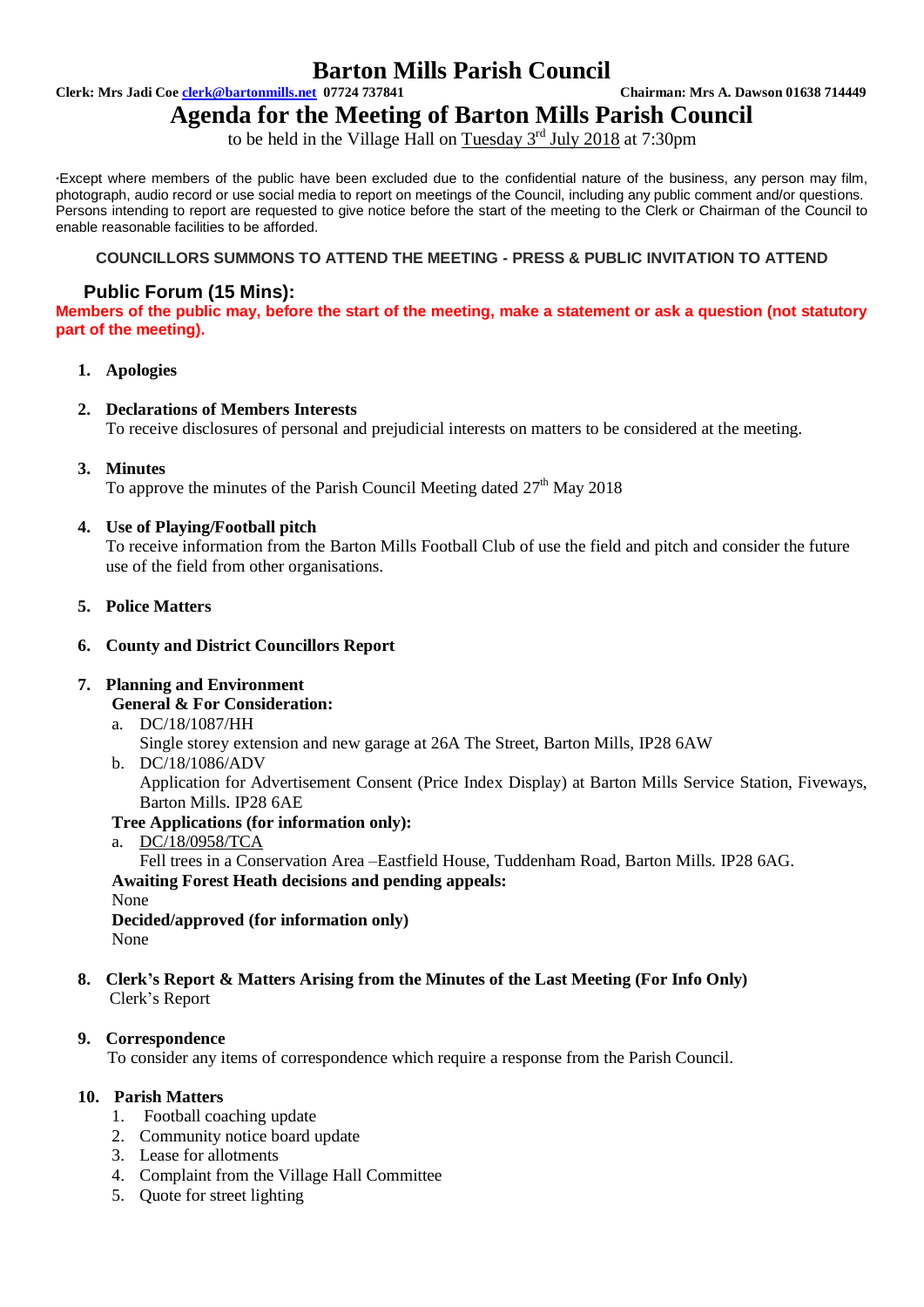# **Barton Mills Parish Council**

**Clerk: Mrs Jadi Coe clerk@bartonmills.net 07724 737841 Chairman: Mrs A. Dawson 01638 714449**

**Agenda for the Meeting of Barton Mills Parish Council**

to be held in the Village Hall on Tuesday 3<sup>rd</sup> July 2018 at 7:30pm

\*Except where members of the public have been excluded due to the confidential nature of the business, any person may film, photograph, audio record or use social media to report on meetings of the Council, including any public comment and/or questions. Persons intending to report are requested to give notice before the start of the meeting to the Clerk or Chairman of the Council to enable reasonable facilities to be afforded.

# **COUNCILLORS SUMMONS TO ATTEND THE MEETING - PRESS & PUBLIC INVITATION TO ATTEND**

# **Public Forum (15 Mins):**

**Members of the public may, before the start of the meeting, make a statement or ask a question (not statutory part of the meeting).**

# **1. Apologies**

# **2. Declarations of Members Interests**

To receive disclosures of personal and prejudicial interests on matters to be considered at the meeting.

**3. Minutes**

To approve the minutes of the Parish Council Meeting dated  $27<sup>th</sup>$  May 2018

# **4. Use of Playing/Football pitch**

To receive information from the Barton Mills Football Club of use the field and pitch and consider the future use of the field from other organisations.

### **5. Police Matters**

# **6. County and District Councillors Report**

# **7. Planning and Environment**

- **General & For Consideration:**
- a. DC/18/1087/HH
	- Single storey extension and new garage at 26A The Street, Barton Mills, IP28 6AW
- b. DC/18/1086/ADV

Application for Advertisement Consent (Price Index Display) at Barton Mills Service Station, Fiveways, Barton Mills. IP28 6AE

# **Tree Applications (for information only):**

a. DC/18/0958/TCA

Fell trees in a Conservation Area –Eastfield House, Tuddenham Road, Barton Mills. IP28 6AG. **Awaiting Forest Heath decisions and pending appeals:** None

**Decided/approved (for information only)** None

**8. Clerk's Report & Matters Arising from the Minutes of the Last Meeting (For Info Only)** Clerk's Report

#### **9. Correspondence**

To consider any items of correspondence which require a response from the Parish Council.

## **10. Parish Matters**

- 1. Football coaching update
- 2. Community notice board update
- 3. Lease for allotments
- 4. Complaint from the Village Hall Committee
- 5. Quote for street lighting